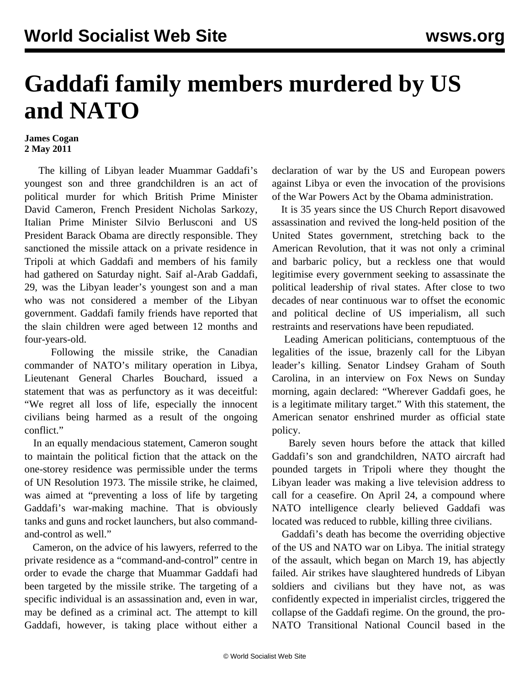## **Gaddafi family members murdered by US and NATO**

## **James Cogan 2 May 2011**

 The killing of Libyan leader Muammar Gaddafi's youngest son and three grandchildren is an act of political murder for which British Prime Minister David Cameron, French President Nicholas Sarkozy, Italian Prime Minister Silvio Berlusconi and US President Barack Obama are directly responsible. They sanctioned the missile attack on a private residence in Tripoli at which Gaddafi and members of his family had gathered on Saturday night. Saif al-Arab Gaddafi, 29, was the Libyan leader's youngest son and a man who was not considered a member of the Libyan government. Gaddafi family friends have reported that the slain children were aged between 12 months and four-years-old.

 Following the missile strike, the Canadian commander of NATO's military operation in Libya, Lieutenant General Charles Bouchard, issued a statement that was as perfunctory as it was deceitful: "We regret all loss of life, especially the innocent civilians being harmed as a result of the ongoing conflict."

 In an equally mendacious statement, Cameron sought to maintain the political fiction that the attack on the one-storey residence was permissible under the terms of UN Resolution 1973. The missile strike, he claimed, was aimed at "preventing a loss of life by targeting Gaddafi's war-making machine. That is obviously tanks and guns and rocket launchers, but also commandand-control as well."

 Cameron, on the advice of his lawyers, referred to the private residence as a "command-and-control" centre in order to evade the charge that Muammar Gaddafi had been targeted by the missile strike. The targeting of a specific individual is an assassination and, even in war, may be defined as a criminal act. The attempt to kill Gaddafi, however, is taking place without either a declaration of war by the US and European powers against Libya or even the invocation of the provisions of the War Powers Act by the Obama administration.

 It is 35 years since the US Church Report disavowed assassination and revived the long-held position of the United States government, stretching back to the American Revolution, that it was not only a criminal and barbaric policy, but a reckless one that would legitimise every government seeking to assassinate the political leadership of rival states. After close to two decades of near continuous war to offset the economic and political decline of US imperialism, all such restraints and reservations have been repudiated.

 Leading American politicians, contemptuous of the legalities of the issue, brazenly call for the Libyan leader's killing. Senator Lindsey Graham of South Carolina, in an interview on Fox News on Sunday morning, again declared: "Wherever Gaddafi goes, he is a legitimate military target." With this statement, the American senator enshrined murder as official state policy.

 Barely seven hours before the attack that killed Gaddafi's son and grandchildren, NATO aircraft had pounded targets in Tripoli where they thought the Libyan leader was making a live television address to call for a ceasefire. On April 24, a compound where NATO intelligence clearly believed Gaddafi was located was reduced to rubble, killing three civilians.

 Gaddafi's death has become the overriding objective of the US and NATO war on Libya. The initial strategy of the assault, which began on March 19, has abjectly failed. Air strikes have slaughtered hundreds of Libyan soldiers and civilians but they have not, as was confidently expected in imperialist circles, triggered the collapse of the Gaddafi regime. On the ground, the pro-NATO Transitional National Council based in the